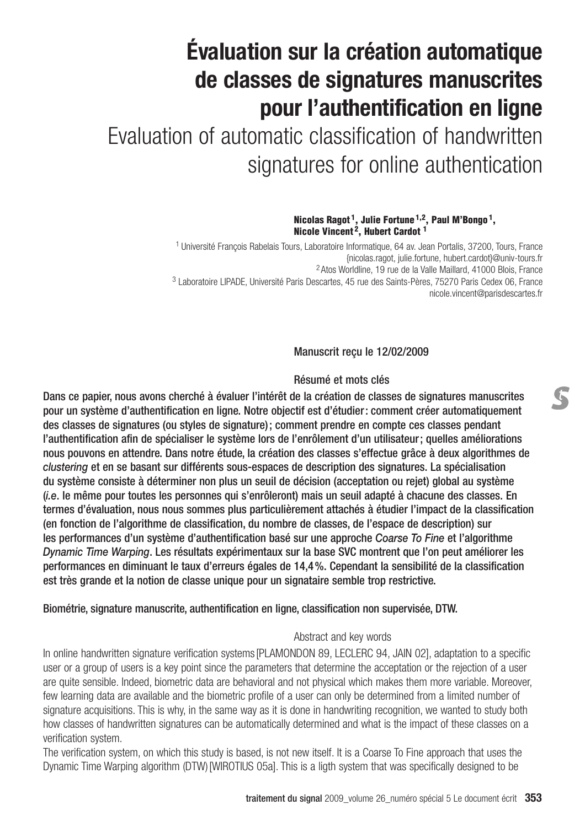# **Évaluation sur la création automatique de classes de signatures manuscrites pour l'authentification en ligne**

Evaluation of automatic classification of handwritten signatures for online authentication

> **Nicolas Ragot 1, Julie Fortune 1,2, Paul M'Bongo 1, Nicole Vincent 2, Hubert Cardot 1**

<sup>1</sup> Université Francois Rabelais Tours, Laboratoire Informatique, 64 av. Jean Portalis, 37200, Tours, France {nicolas.ragot, julie.fortune, hubert.cardot}@univ-tours.fr 2Atos Worldline, 19 rue de la Valle Maillard, 41000 Blois, France <sup>3</sup> Laboratoire LIPADE, Université Paris Descartes, 45 rue des Saints-Pères, 75270 Paris Cedex 06, France nicole.vincent@parisdescartes.fr

Manuscrit reçu le 12/02/2009

### Résumé et mots clés

Dans ce papier, nous avons cherché à évaluer l'intérêt de la création de classes de signatures manuscrites pour un système d'authentification en ligne. Notre objectif est d'étudier: comment créer automatiquement des classes de signatures (ou styles de signature); comment prendre en compte ces classes pendant l'authentification afin de spécialiser le système lors de l'enrôlement d'un utilisateur; quelles améliorations nous pouvons en attendre. Dans notre étude, la création des classes s'effectue grâce à deux algorithmes de *clustering* et en se basant sur différents sous-espaces de description des signatures. La spécialisation du système consiste à déterminer non plus un seuil de décision (acceptation ou rejet) global au système (*i.e*. le même pour toutes les personnes qui s'enrôleront) mais un seuil adapté à chacune des classes. En termes d'évaluation, nous nous sommes plus particulièrement attachés à étudier l'impact de la classification (en fonction de l'algorithme de classification, du nombre de classes, de l'espace de description) sur les performances d'un système d'authentification basé sur une approche *Coarse To Fine* et l'algorithme *Dynamic Time Warping*. Les résultats expérimentaux sur la base SVC montrent que l'on peut améliorer les performances en diminuant le taux d'erreurs égales de 14,4%. Cependant la sensibilité de la classification est très grande et la notion de classe unique pour un signataire semble trop restrictive.

### Biométrie, signature manuscrite, authentification en ligne, classification non supervisée, DTW.

### Abstract and key words

In online handwritten signature verification systems [PLAMONDON 89, LECLERC 94, JAIN 02], adaptation to a specific user or a group of users is a key point since the parameters that determine the acceptation or the rejection of a user are quite sensible. Indeed, biometric data are behavioral and not physical which makes them more variable. Moreover, few learning data are available and the biometric profile of a user can only be determined from a limited number of signature acquisitions. This is why, in the same way as it is done in handwriting recognition, we wanted to study both how classes of handwritten signatures can be automatically determined and what is the impact of these classes on a verification system.

The verification system, on which this study is based, is not new itself. It is a Coarse To Fine approach that uses the Dynamic Time Warping algorithm (DTW)[WIROTIUS 05a]. This is a ligth system that was specifically designed to be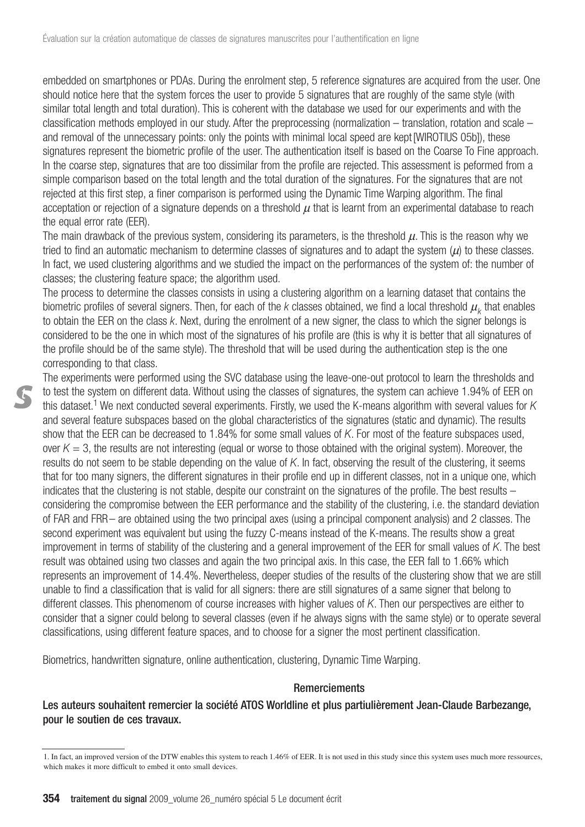embedded on smartphones or PDAs. During the enrolment step, 5 reference signatures are acquired from the user. One should notice here that the system forces the user to provide 5 signatures that are roughly of the same style (with similar total length and total duration). This is coherent with the database we used for our experiments and with the classification methods employed in our study. After the preprocessing (normalization – translation, rotation and scale – and removal of the unnecessary points: only the points with minimal local speed are kept [WIROTIUS 05b]), these signatures represent the biometric profile of the user. The authentication itself is based on the Coarse To Fine approach. In the coarse step, signatures that are too dissimilar from the profile are rejected. This assessment is peformed from a simple comparison based on the total length and the total duration of the signatures. For the signatures that are not rejected at this first step, a finer comparison is performed using the Dynamic Time Warping algorithm. The final acceptation or rejection of a signature depends on a threshold  $\mu$  that is learnt from an experimental database to reach the equal error rate (EER).

The main drawback of the previous system, considering its parameters, is the threshold  $\mu$ . This is the reason why we tried to find an automatic mechanism to determine classes of signatures and to adapt the system (*m*) to these classes. In fact, we used clustering algorithms and we studied the impact on the performances of the system of: the number of classes; the clustering feature space; the algorithm used.

The process to determine the classes consists in using a clustering algorithm on a learning dataset that contains the biometric profiles of several signers. Then, for each of the *k* classes obtained, we find a local threshold  $\mu_k$  that enables to obtain the EER on the class *k*. Next, during the enrolment of a new signer, the class to which the signer belongs is considered to be the one in which most of the signatures of his profile are (this is why it is better that all signatures of the profile should be of the same style). The threshold that will be used during the authentication step is the one corresponding to that class.

The experiments were performed using the SVC database using the leave-one-out protocol to learn the thresholds and to test the system on different data. Without using the classes of signatures, the system can achieve 1.94% of EER on this dataset.1 We next conducted several experiments. Firstly, we used the K-means algorithm with several values for *K* and several feature subspaces based on the global characteristics of the signatures (static and dynamic). The results show that the EER can be decreased to 1.84% for some small values of *K*. For most of the feature subspaces used, over  $K = 3$ , the results are not interesting (equal or worse to those obtained with the original system). Moreover, the results do not seem to be stable depending on the value of *K*. In fact, observing the result of the clustering, it seems that for too many signers, the different signatures in their profile end up in different classes, not in a unique one, which indicates that the clustering is not stable, despite our constraint on the signatures of the profile. The best results – considering the compromise between the EER performance and the stability of the clustering, i.e. the standard deviation of FAR and FRR– are obtained using the two principal axes (using a principal component analysis) and 2 classes. The second experiment was equivalent but using the fuzzy C-means instead of the K-means. The results show a great improvement in terms of stability of the clustering and a general improvement of the EER for small values of *K*. The best result was obtained using two classes and again the two principal axis. In this case, the EER fall to 1.66% which represents an improvement of 14.4%. Nevertheless, deeper studies of the results of the clustering show that we are still unable to find a classification that is valid for all signers: there are still signatures of a same signer that belong to different classes. This phenomenom of course increases with higher values of *K*. Then our perspectives are either to consider that a signer could belong to several classes (even if he always signs with the same style) or to operate several classifications, using different feature spaces, and to choose for a signer the most pertinent classification.

Biometrics, handwritten signature, online authentication, clustering, Dynamic Time Warping.

### **Remerciements**

## Les auteurs souhaitent remercier la société ATOS Worldline et plus partiulièrement Jean-Claude Barbezange, pour le soutien de ces travaux.

<sup>1.</sup> In fact, an improved version of the DTW enables this system to reach 1.46% of EER. It is not used in this study since this system uses much more ressources, which makes it more difficult to embed it onto small devices.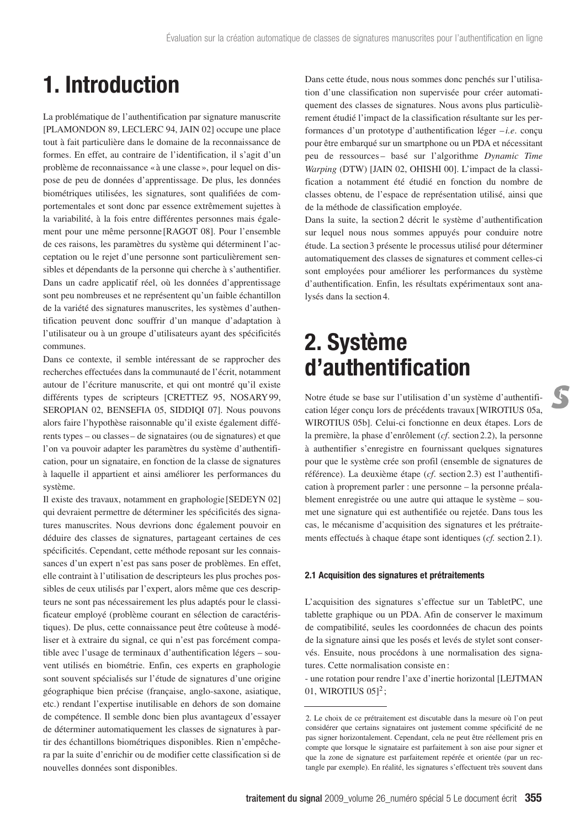# **1. Introduction**

La problématique de l'authentification par signature manuscrite [PLAMONDON 89, LECLERC 94, JAIN 02] occupe une place tout à fait particulière dans le domaine de la reconnaissance de formes. En effet, au contraire de l'identification, il s'agit d'un problème de reconnaissance « à une classe », pour lequel on dispose de peu de données d'apprentissage. De plus, les données biométriques utilisées, les signatures, sont qualifiées de comportementales et sont donc par essence extrêmement sujettes à la variabilité, à la fois entre différentes personnes mais également pour une même personne [RAGOT 08]. Pour l'ensemble de ces raisons, les paramètres du système qui déterminent l'acceptation ou le rejet d'une personne sont particulièrement sensibles et dépendants de la personne qui cherche à s'authentifier. Dans un cadre applicatif réel, où les données d'apprentissage sont peu nombreuses et ne représentent qu'un faible échantillon de la variété des signatures manuscrites, les systèmes d'authentification peuvent donc souffrir d'un manque d'adaptation à l'utilisateur ou à un groupe d'utilisateurs ayant des spécificités communes.

Dans ce contexte, il semble intéressant de se rapprocher des recherches effectuées dans la communauté de l'écrit, notamment autour de l'écriture manuscrite, et qui ont montré qu'il existe différents types de scripteurs [CRETTEZ 95, NOSARY99, SEROPIAN 02, BENSEFIA 05, SIDDIQI 07]. Nous pouvons alors faire l'hypothèse raisonnable qu'il existe également différents types – ou classes– de signataires (ou de signatures) et que l'on va pouvoir adapter les paramètres du système d'authentification, pour un signataire, en fonction de la classe de signatures à laquelle il appartient et ainsi améliorer les performances du système.

Il existe des travaux, notamment en graphologie [SEDEYN 02] qui devraient permettre de déterminer les spécificités des signatures manuscrites. Nous devrions donc également pouvoir en déduire des classes de signatures, partageant certaines de ces spécificités. Cependant, cette méthode reposant sur les connaissances d'un expert n'est pas sans poser de problèmes. En effet, elle contraint à l'utilisation de descripteurs les plus proches possibles de ceux utilisés par l'expert, alors même que ces descripteurs ne sont pas nécessairement les plus adaptés pour le classificateur employé (problème courant en sélection de caractéristiques). De plus, cette connaissance peut être coûteuse à modéliser et à extraire du signal, ce qui n'est pas forcément compatible avec l'usage de terminaux d'authentification légers – souvent utilisés en biométrie. Enfin, ces experts en graphologie sont souvent spécialisés sur l'étude de signatures d'une origine géographique bien précise (française, anglo-saxone, asiatique, etc.) rendant l'expertise inutilisable en dehors de son domaine de compétence. Il semble donc bien plus avantageux d'essayer de déterminer automatiquement les classes de signatures à partir des échantillons biométriques disponibles. Rien n'empêchera par la suite d'enrichir ou de modifier cette classification si de nouvelles données sont disponibles.

Dans cette étude, nous nous sommes donc penchés sur l'utilisation d'une classification non supervisée pour créer automatiquement des classes de signatures. Nous avons plus particulièrement étudié l'impact de la classification résultante sur les performances d'un prototype d'authentification léger – *i.e*. conçu pour être embarqué sur un smartphone ou un PDA et nécessitant peu de ressources – basé sur l'algorithme *Dynamic Time Warping* (DTW) [JAIN 02, OHISHI 00]. L'impact de la classification a notamment été étudié en fonction du nombre de classes obtenu, de l'espace de représentation utilisé, ainsi que de la méthode de classification employée.

Dans la suite, la section 2 décrit le système d'authentification sur lequel nous nous sommes appuyés pour conduire notre étude. La section 3 présente le processus utilisé pour déterminer automatiquement des classes de signatures et comment celles-ci sont employées pour améliorer les performances du système d'authentification. Enfin, les résultats expérimentaux sont analysés dans la section 4.

## **2. Système d'authentification**

Notre étude se base sur l'utilisation d'un système d'authentification léger conçu lors de précédents travaux [WIROTIUS 05a, WIROTIUS 05b]. Celui-ci fonctionne en deux étapes. Lors de la première, la phase d'enrôlement (*cf*. section 2.2), la personne à authentifier s'enregistre en fournissant quelques signatures pour que le système crée son profil (ensemble de signatures de référence). La deuxième étape (*cf*. section 2.3) est l'authentification à proprement parler : une personne – la personne préalablement enregistrée ou une autre qui attaque le système – soumet une signature qui est authentifiée ou rejetée. Dans tous les cas, le mécanisme d'acquisition des signatures et les prétraitements effectués à chaque étape sont identiques (*cf.* section 2.1).

#### **2.1 Acquisition des signatures et prétraitements**

L'acquisition des signatures s'effectue sur un TabletPC, une tablette graphique ou un PDA. Afin de conserver le maximum de compatibilité, seules les coordonnées de chacun des points de la signature ainsi que les posés et levés de stylet sont conservés. Ensuite, nous procédons à une normalisation des signatures. Cette normalisation consiste en :

- une rotation pour rendre l'axe d'inertie horizontal [LEJTMAN 01, WIROTIUS  $05$ <sup>2</sup>;

<sup>2.</sup> Le choix de ce prétraitement est discutable dans la mesure où l'on peut considérer que certains signataires ont justement comme spécificité de ne pas signer horizontalement. Cependant, cela ne peut être réellement pris en compte que lorsque le signataire est parfaitement à son aise pour signer et que la zone de signature est parfaitement repérée et orientée (par un rectangle par exemple). En réalité, les signatures s'effectuent très souvent dans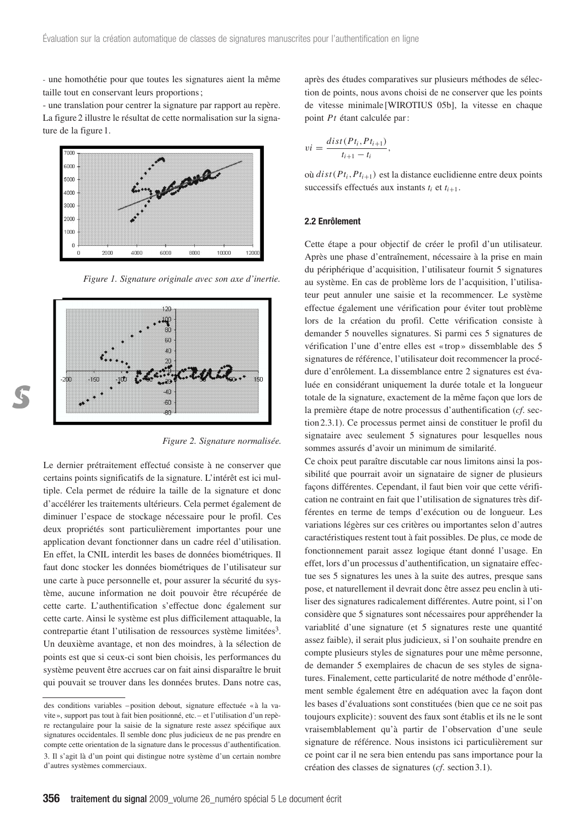- une homothétie pour que toutes les signatures aient la même taille tout en conservant leurs proportions ;

- une translation pour centrer la signature par rapport au repère. La figure 2 illustre le résultat de cette normalisation sur la signature de la figure 1.



*Figure 1. Signature originale avec son axe d'inertie.*



*Figure 2. Signature normalisée.*

Le dernier prétraitement effectué consiste à ne conserver que certains points significatifs de la signature. L'intérêt est ici multiple. Cela permet de réduire la taille de la signature et donc d'accélérer les traitements ultérieurs. Cela permet également de diminuer l'espace de stockage nécessaire pour le profil. Ces deux propriétés sont particulièrement importantes pour une application devant fonctionner dans un cadre réel d'utilisation. En effet, la CNIL interdit les bases de données biométriques. Il faut donc stocker les données biométriques de l'utilisateur sur une carte à puce personnelle et, pour assurer la sécurité du système, aucune information ne doit pouvoir être récupérée de cette carte. L'authentification s'effectue donc également sur cette carte. Ainsi le système est plus difficilement attaquable, la contrepartie étant l'utilisation de ressources système limitées<sup>3</sup>. Un deuxième avantage, et non des moindres, à la sélection de points est que si ceux-ci sont bien choisis, les performances du système peuvent être accrues car on fait ainsi disparaître le bruit qui pouvait se trouver dans les données brutes. Dans notre cas, après des études comparatives sur plusieurs méthodes de sélection de points, nous avons choisi de ne conserver que les points de vitesse minimale [WIROTIUS 05b], la vitesse en chaque point *Pt* étant calculée par :

$$
vi = \frac{dist(Pt_i, Pt_{i+1})}{t_{i+1} - t_i}
$$

où  $dist(Pt_i, Pt_{i+1})$  est la distance euclidienne entre deux points successifs effectués aux instants  $t_i$  et  $t_{i+1}$ .

,

#### **2.2 Enrôlement**

Cette étape a pour objectif de créer le profil d'un utilisateur. Après une phase d'entraînement, nécessaire à la prise en main du périphérique d'acquisition, l'utilisateur fournit 5 signatures au système. En cas de problème lors de l'acquisition, l'utilisateur peut annuler une saisie et la recommencer. Le système effectue également une vérification pour éviter tout problème lors de la création du profil. Cette vérification consiste à demander 5 nouvelles signatures. Si parmi ces 5 signatures de vérification l'une d'entre elles est « trop » dissemblable des 5 signatures de référence, l'utilisateur doit recommencer la procédure d'enrôlement. La dissemblance entre 2 signatures est évaluée en considérant uniquement la durée totale et la longueur totale de la signature, exactement de la même façon que lors de la première étape de notre processus d'authentification (*cf*. section 2.3.1). Ce processus permet ainsi de constituer le profil du signataire avec seulement 5 signatures pour lesquelles nous sommes assurés d'avoir un minimum de similarité.

Ce choix peut paraître discutable car nous limitons ainsi la possibilité que pourrait avoir un signataire de signer de plusieurs façons différentes. Cependant, il faut bien voir que cette vérification ne contraint en fait que l'utilisation de signatures très différentes en terme de temps d'exécution ou de longueur. Les variations légères sur ces critères ou importantes selon d'autres caractéristiques restent tout à fait possibles. De plus, ce mode de fonctionnement parait assez logique étant donné l'usage. En effet, lors d'un processus d'authentification, un signataire effectue ses 5 signatures les unes à la suite des autres, presque sans pose, et naturellement il devrait donc être assez peu enclin à utiliser des signatures radicalement différentes. Autre point, si l'on considère que 5 signatures sont nécessaires pour appréhender la variablité d'une signature (et 5 signatures reste une quantité assez faible), il serait plus judicieux, si l'on souhaite prendre en compte plusieurs styles de signatures pour une même personne, de demander 5 exemplaires de chacun de ses styles de signatures. Finalement, cette particularité de notre méthode d'enrôlement semble également être en adéquation avec la façon dont les bases d'évaluations sont constituées (bien que ce ne soit pas toujours explicite) : souvent des faux sont établis et ils ne le sont vraisemblablement qu'à partir de l'observation d'une seule signature de référence. Nous insistons ici particulièrement sur ce point car il ne sera bien entendu pas sans importance pour la création des classes de signatures (*cf*. section 3.1).

des conditions variables –position debout, signature effectuée «à la vavite», support pas tout à fait bien positionné, etc.– et l'utilisation d'un repère rectangulaire pour la saisie de la signature reste assez spécifique aux signatures occidentales. Il semble donc plus judicieux de ne pas prendre en compte cette orientation de la signature dans le processus d'authentification. 3. Il s'agit là d'un point qui distingue notre système d'un certain nombre d'autres systèmes commerciaux.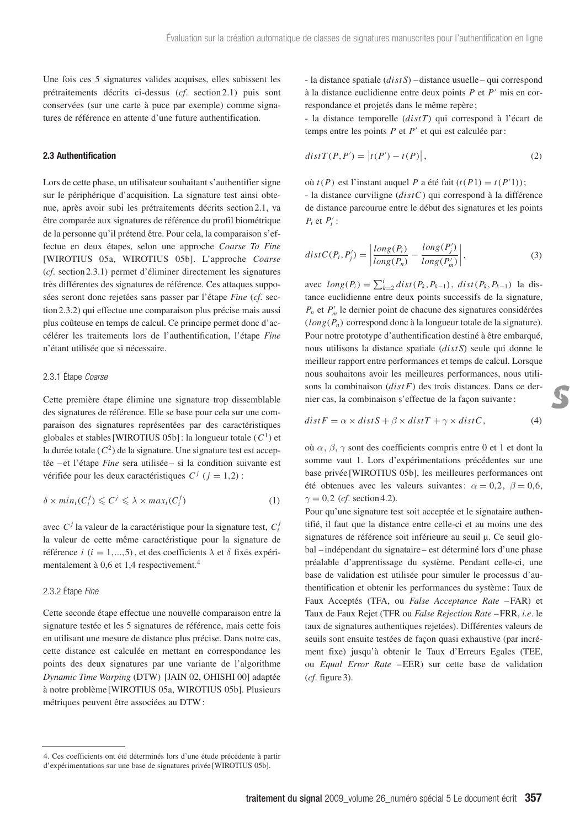Une fois ces 5 signatures valides acquises, elles subissent les prétraitements décrits ci-dessus (*cf*. section 2.1) puis sont conservées (sur une carte à puce par exemple) comme signatures de référence en attente d'une future authentification.

#### **2.3 Authentification**

Lors de cette phase, un utilisateur souhaitant s'authentifier signe sur le périphérique d'acquisition. La signature test ainsi obtenue, après avoir subi les prétraitements décrits section 2.1, va être comparée aux signatures de référence du profil biométrique de la personne qu'il prétend être. Pour cela, la comparaison s'effectue en deux étapes, selon une approche *Coarse To Fine* [WIROTIUS 05a, WIROTIUS 05b]. L'approche *Coarse* (*cf*. section 2.3.1) permet d'éliminer directement les signatures très différentes des signatures de référence. Ces attaques supposées seront donc rejetées sans passer par l'étape *Fine* (*cf*. section 2.3.2) qui effectue une comparaison plus précise mais aussi plus coûteuse en temps de calcul. Ce principe permet donc d'accélérer les traitements lors de l'authentification, l'étape *Fine* n'étant utilisée que si nécessaire.

#### 2.3.1 Étape *Coarse*

Cette première étape élimine une signature trop dissemblable des signatures de référence. Elle se base pour cela sur une comparaison des signatures représentées par des caractéristiques globales et stables [WIROTIUS 05b] : la longueur totale (*C*1) et la durée totale  $(C^2)$  de la signature. Une signature test est acceptée – et l'étape *Fine* sera utilisée – si la condition suivante est vérifiée pour les deux caractéristiques  $C^j$  ( $j = 1,2$ ) :

$$
\delta \times min_i(C_i^j) \leqslant C^j \leqslant \lambda \times max_i(C_i^j)
$$
 (1)

avec *C <sup>j</sup>* la valeur de la caractéristique pour la signature test, *C <sup>j</sup> i* la valeur de cette même caractéristique pour la signature de référence *i* ( $i = 1,...,5$ ), et des coefficients  $\lambda$  et  $\delta$  fixés expérimentalement à 0,6 et 1,4 respectivement.4

#### 2.3.2 Étape *Fine*

Cette seconde étape effectue une nouvelle comparaison entre la signature testée et les 5 signatures de référence, mais cette fois en utilisant une mesure de distance plus précise. Dans notre cas, cette distance est calculée en mettant en correspondance les points des deux signatures par une variante de l'algorithme *Dynamic Time Warping* (DTW) [JAIN 02, OHISHI 00] adaptée à notre problème [WIROTIUS 05a, WIROTIUS 05b]. Plusieurs métriques peuvent être associées au DTW :

- la distance spatiale (*distS*) – distance usuelle – qui correspond à la distance euclidienne entre deux points *P* et *P* mis en correspondance et projetés dans le même repère ;

- la distance temporelle (*distT*) qui correspond à l'écart de temps entre les points *P* et *P'* et qui est calculée par :

$$
distT(P, P') = |t(P') - t(P)|,
$$
\n(2)

où  $t(P)$  est l'instant auquel *P* a été fait  $(t(P1) = t(P'1));$ - la distance curviligne (*distC*) qui correspond à la différence de distance parcourue entre le début des signatures et les points  $P_i$  et  $P'_i$ :

$$
distC(P_i, P'_j) = \left| \frac{long(P_i)}{long(P_n)} - \frac{long(P'_j)}{long(P'_m)} \right|,
$$
\n(3)

avec  $long(P_i) = \sum_{k=2}^{i} dist(P_k, P_{k-1}), dist(P_k, P_{k-1})$  la distance euclidienne entre deux points successifs de la signature, *Pn* et *P <sup>m</sup>* le dernier point de chacune des signatures considérées (*long*(*Pn*) correspond donc à la longueur totale de la signature). Pour notre prototype d'authentification destiné à être embarqué, nous utilisons la distance spatiale (*distS*) seule qui donne le meilleur rapport entre performances et temps de calcul. Lorsque nous souhaitons avoir les meilleures performances, nous utilisons la combinaison (*distF*) des trois distances. Dans ce dernier cas, la combinaison s'effectue de la façon suivante :

$$
distF = \alpha \times distS + \beta \times distT + \gamma \times distC,
$$
 (4)

où  $\alpha$ ,  $\beta$ ,  $\gamma$  sont des coefficients compris entre 0 et 1 et dont la somme vaut 1. Lors d'expérimentations précédentes sur une base privée [WIROTIUS 05b], les meilleures performances ont été obtenues avec les valeurs suivantes:  $\alpha = 0.2$ ,  $\beta = 0.6$ ,  $\gamma = 0.2$  (*cf.* section 4.2).

Pour qu'une signature test soit acceptée et le signataire authentifié, il faut que la distance entre celle-ci et au moins une des signatures de référence soit inférieure au seuil  $\mu$ . Ce seuil global – indépendant du signataire – est déterminé lors d'une phase préalable d'apprentissage du système. Pendant celle-ci, une base de validation est utilisée pour simuler le processus d'authentification et obtenir les performances du système : Taux de Faux Acceptés (TFA, ou *False Acceptance Rate* – FAR) et Taux de Faux Rejet (TFR ou *False Rejection Rate* – FRR, *i.e*. le taux de signatures authentiques rejetées). Différentes valeurs de seuils sont ensuite testées de façon quasi exhaustive (par incrément fixe) jusqu'à obtenir le Taux d'Erreurs Egales (TEE, ou *Equal Error Rate* – EER) sur cette base de validation (*cf*. figure 3).

<sup>4.</sup> Ces coefficients ont été déterminés lors d'une étude précédente à partir d'expérimentations sur une base de signatures privée [WIROTIUS 05b].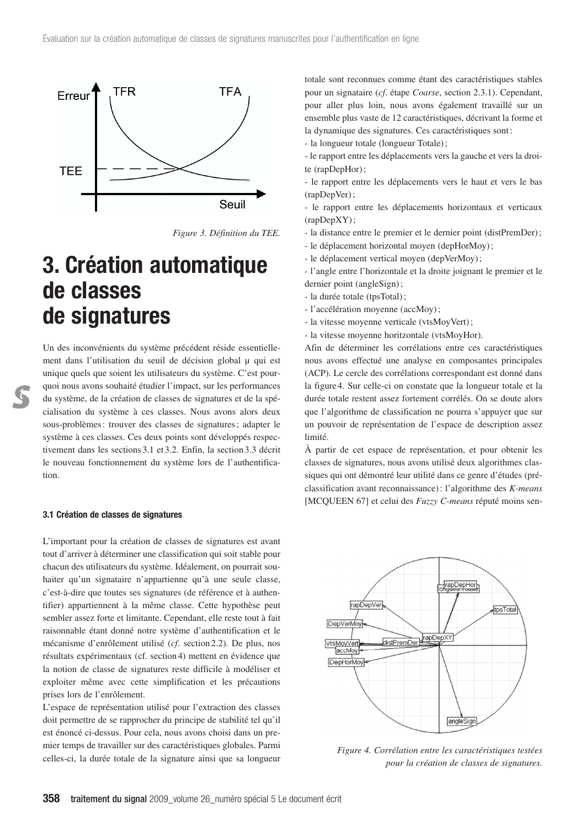

*Figure 3. Définition du TEE.*

## **3. Création automatique de classes de signatures**

Un des inconvénients du système précédent réside essentiellement dans l'utilisation du seuil de décision global µ qui est unique quels que soient les utilisateurs du système. C'est pourquoi nous avons souhaité étudier l'impact, sur les performances du système, de la création de classes de signatures et de la spécialisation du système à ces classes. Nous avons alors deux sous-problèmes : trouver des classes de signatures ; adapter le système à ces classes. Ces deux points sont développés respectivement dans les sections 3.1 et 3.2. Enfin, la section 3.3 décrit le nouveau fonctionnement du système lors de l'authentification.

#### **3.1 Création de classes de signatures**

L'important pour la création de classes de signatures est avant tout d'arriver à déterminer une classification qui soit stable pour chacun des utilisateurs du système. Idéalement, on pourrait souhaiter qu'un signataire n'appartienne qu'à une seule classe, c'est-à-dire que toutes ses signatures (de référence et à authentifier) appartiennent à la même classe. Cette hypothèse peut sembler assez forte et limitante. Cependant, elle reste tout à fait raisonnable étant donné notre système d'authentification et le mécanisme d'enrôlement utilisé (*cf*. section 2.2). De plus, nos résultats expérimentaux (cf. section 4) mettent en évidence que la notion de classe de signatures reste difficile à modéliser et exploiter même avec cette simplification et les précautions prises lors de l'enrôlement.

L'espace de représentation utilisé pour l'extraction des classes doit permettre de se rapprocher du principe de stabilité tel qu'il est énoncé ci-dessus. Pour cela, nous avons choisi dans un premier temps de travailler sur des caractéristiques globales. Parmi celles-ci, la durée totale de la signature ainsi que sa longueur totale sont reconnues comme étant des caractéristiques stables pour un signataire (*cf*. étape *Coarse*, section 2.3.1). Cependant, pour aller plus loin, nous avons également travaillé sur un ensemble plus vaste de 12 caractéristiques, décrivant la forme et la dynamique des signatures. Ces caractéristiques sont :

- la longueur totale (longueur Totale) ;

- le rapport entre les déplacements vers la gauche et vers la droite (rapDepHor) ;
- le rapport entre les déplacements vers le haut et vers le bas (rapDepVer) ;
- le rapport entre les déplacements horizontaux et verticaux (rapDepXY) ;
- la distance entre le premier et le dernier point (distPremDer) ;
- le déplacement horizontal moyen (depHorMoy) ;
- le déplacement vertical moyen (depVerMoy) ;

- l'angle entre l'horizontale et la droite joignant le premier et le dernier point (angleSign) ;

- la durée totale (tpsTotal) ;
- l'accélération moyenne (accMoy) ;
- la vitesse moyenne verticale (vtsMoyVert);
- la vitesse moyenne horitzontale (vtsMoyHor).

Afin de déterminer les corrélations entre ces caractéristiques nous avons effectué une analyse en composantes principales (ACP). Le cercle des corrélations correspondant est donné dans la figure 4. Sur celle-ci on constate que la longueur totale et la durée totale restent assez fortement corrélés. On se doute alors que l'algorithme de classification ne pourra s'appuyer que sur un pouvoir de représentation de l'espace de description assez limité.

À partir de cet espace de représentation, et pour obtenir les classes de signatures, nous avons utilisé deux algorithmes classiques qui ont démontré leur utilité dans ce genre d'études (préclassification avant reconnaissance) : l'algorithme des *K-means* [MCQUEEN 67] et celui des *Fuzzy C-means* réputé moins sen-



*Figure 4. Corrélation entre les caractéristiques testées pour la création de classes de signatures.*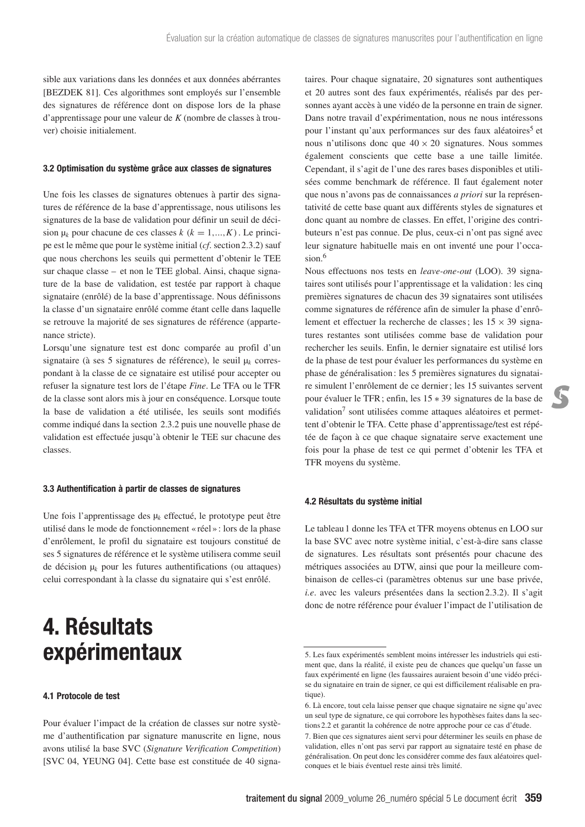sible aux variations dans les données et aux données abérrantes [BEZDEK 81]. Ces algorithmes sont employés sur l'ensemble des signatures de référence dont on dispose lors de la phase d'apprentissage pour une valeur de *K* (nombre de classes à trouver) choisie initialement.

#### **3.2 Optimisation du système grâce aux classes de signatures**

Une fois les classes de signatures obtenues à partir des signatures de référence de la base d'apprentissage, nous utilisons les signatures de la base de validation pour définir un seuil de décision  $\mu_k$  pour chacune de ces classes  $k$  ( $k = 1,...,K$ ). Le principe est le même que pour le système initial (*cf*. section 2.3.2) sauf que nous cherchons les seuils qui permettent d'obtenir le TEE sur chaque classe – et non le TEE global. Ainsi, chaque signature de la base de validation, est testée par rapport à chaque signataire (enrôlé) de la base d'apprentissage. Nous définissons la classe d'un signataire enrôlé comme étant celle dans laquelle se retrouve la majorité de ses signatures de référence (appartenance stricte).

Lorsqu'une signature test est donc comparée au profil d'un signataire (à ses 5 signatures de référence), le seuil  $\mu_k$  correspondant à la classe de ce signataire est utilisé pour accepter ou refuser la signature test lors de l'étape *Fine*. Le TFA ou le TFR de la classe sont alors mis à jour en conséquence. Lorsque toute la base de validation a été utilisée, les seuils sont modifiés comme indiqué dans la section 2.3.2 puis une nouvelle phase de validation est effectuée jusqu'à obtenir le TEE sur chacune des classes.

#### **3.3 Authentification à partir de classes de signatures**

Une fois l'apprentissage des µ*<sup>k</sup>* effectué, le prototype peut être utilisé dans le mode de fonctionnement « réel » : lors de la phase d'enrôlement, le profil du signataire est toujours constitué de ses 5 signatures de référence et le système utilisera comme seuil de décision  $\mu_k$  pour les futures authentifications (ou attaques) celui correspondant à la classe du signataire qui s'est enrôlé.

## **4. Résultats expérimentaux**

#### **4.1 Protocole de test**

Pour évaluer l'impact de la création de classes sur notre système d'authentification par signature manuscrite en ligne, nous avons utilisé la base SVC (*Signature Verification Competition*) [SVC 04, YEUNG 04]. Cette base est constituée de 40 signataires. Pour chaque signataire, 20 signatures sont authentiques et 20 autres sont des faux expérimentés, réalisés par des personnes ayant accès à une vidéo de la personne en train de signer. Dans notre travail d'expérimentation, nous ne nous intéressons pour l'instant qu'aux performances sur des faux aléatoires<sup>5</sup> et nous n'utilisons donc que  $40 \times 20$  signatures. Nous sommes également conscients que cette base a une taille limitée. Cependant, il s'agit de l'une des rares bases disponibles et utilisées comme benchmark de référence. Il faut également noter que nous n'avons pas de connaissances *a priori* sur la représentativité de cette base quant aux différents styles de signatures et donc quant au nombre de classes. En effet, l'origine des contributeurs n'est pas connue. De plus, ceux-ci n'ont pas signé avec leur signature habituelle mais en ont inventé une pour l'occasion.<sup>6</sup>

Nous effectuons nos tests en *leave-one-out* (LOO). 39 signataires sont utilisés pour l'apprentissage et la validation : les cinq premières signatures de chacun des 39 signataires sont utilisées comme signatures de référence afin de simuler la phase d'enrôlement et effectuer la recherche de classes; les  $15 \times 39$  signatures restantes sont utilisées comme base de validation pour rechercher les seuils. Enfin, le dernier signataire est utilisé lors de la phase de test pour évaluer les performances du système en phase de généralisation : les 5 premières signatures du signataire simulent l'enrôlement de ce dernier ; les 15 suivantes servent pour évaluer le TFR ; enfin, les 15 ∗ 39 signatures de la base de validation<sup>7</sup> sont utilisées comme attaques aléatoires et permettent d'obtenir le TFA. Cette phase d'apprentissage/test est répétée de façon à ce que chaque signataire serve exactement une fois pour la phase de test ce qui permet d'obtenir les TFA et TFR moyens du système.

#### **4.2 Résultats du système initial**

Le tableau 1 donne les TFA et TFR moyens obtenus en LOO sur la base SVC avec notre système initial, c'est-à-dire sans classe de signatures. Les résultats sont présentés pour chacune des métriques associées au DTW, ainsi que pour la meilleure combinaison de celles-ci (paramètres obtenus sur une base privée, *i.e*. avec les valeurs présentées dans la section 2.3.2). Il s'agit donc de notre référence pour évaluer l'impact de l'utilisation de

<sup>5.</sup> Les faux expérimentés semblent moins intéresser les industriels qui estiment que, dans la réalité, il existe peu de chances que quelqu'un fasse un faux expérimenté en ligne (les faussaires auraient besoin d'une vidéo précise du signataire en train de signer, ce qui est difficilement réalisable en pratique).

<sup>6.</sup> Là encore, tout cela laisse penser que chaque signataire ne signe qu'avec un seul type de signature, ce qui corrobore les hypothèses faites dans la sections 2.2 et garantit la cohérence de notre approche pour ce cas d'étude.

<sup>7.</sup> Bien que ces signatures aient servi pour déterminer les seuils en phase de validation, elles n'ont pas servi par rapport au signataire testé en phase de généralisation. On peut donc les considérer comme des faux aléatoires quelconques et le biais éventuel reste ainsi très limité.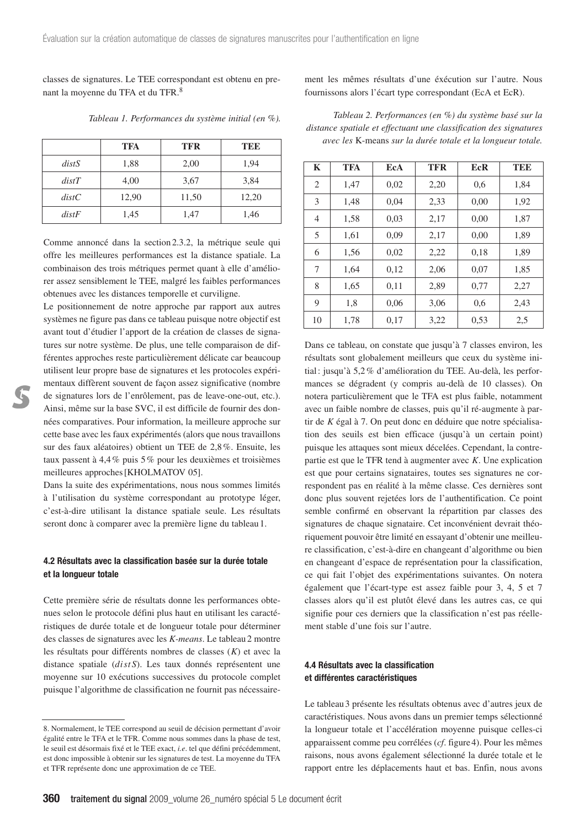classes de signatures. Le TEE correspondant est obtenu en prenant la moyenne du TFA et du TFR.<sup>8</sup>

**TFA TFR TEE** *distS* 1,88 2,00 1,94 *distT* 4,00 3,67 3,84 *distC* 12,90 11,50 12,20 *distF* 1,45 1,47 1,46

*Tableau 1. Performances du système initial (en %).*

Comme annoncé dans la section 2.3.2, la métrique seule qui offre les meilleures performances est la distance spatiale. La combinaison des trois métriques permet quant à elle d'améliorer assez sensiblement le TEE, malgré les faibles performances obtenues avec les distances temporelle et curviligne.

Le positionnement de notre approche par rapport aux autres systèmes ne figure pas dans ce tableau puisque notre objectif est avant tout d'étudier l'apport de la création de classes de signatures sur notre système. De plus, une telle comparaison de différentes approches reste particulièrement délicate car beaucoup utilisent leur propre base de signatures et les protocoles expérimentaux diffèrent souvent de façon assez significative (nombre de signatures lors de l'enrôlement, pas de leave-one-out, etc.). Ainsi, même sur la base SVC, il est difficile de fournir des données comparatives. Pour information, la meilleure approche sur cette base avec les faux expérimentés (alors que nous travaillons sur des faux aléatoires) obtient un TEE de 2,8 %. Ensuite, les taux passent à 4,4 % puis 5 % pour les deuxièmes et troisièmes meilleures approches [KHOLMATOV 05].

Dans la suite des expérimentations, nous nous sommes limités à l'utilisation du système correspondant au prototype léger, c'est-à-dire utilisant la distance spatiale seule. Les résultats seront donc à comparer avec la première ligne du tableau 1.

#### **4.2 Résultats avec la classification basée sur la durée totale et la longueur totale**

Cette première série de résultats donne les performances obtenues selon le protocole défini plus haut en utilisant les caractéristiques de durée totale et de longueur totale pour déterminer des classes de signatures avec les *K-means*. Le tableau 2 montre les résultats pour différents nombres de classes (*K*) et avec la distance spatiale (*distS*). Les taux donnés représentent une moyenne sur 10 exécutions successives du protocole complet puisque l'algorithme de classification ne fournit pas nécessairement les mêmes résultats d'une éxécution sur l'autre. Nous fournissons alors l'écart type correspondant (EcA et EcR).

*Tableau 2. Performances (en %) du système basé sur la distance spatiale et effectuant une classification des signatures avec les* K-means *sur la durée totale et la longueur totale.*

| K  | <b>TFA</b> | EcA  | <b>TFR</b> | EcR  | <b>TEE</b> |
|----|------------|------|------------|------|------------|
| 2  | 1,47       | 0,02 | 2,20       | 0.6  | 1,84       |
| 3  | 1,48       | 0,04 | 2,33       | 0,00 | 1,92       |
| 4  | 1,58       | 0,03 | 2,17       | 0,00 | 1,87       |
| 5  | 1,61       | 0,09 | 2,17       | 0,00 | 1,89       |
| 6  | 1,56       | 0,02 | 2,22       | 0,18 | 1,89       |
| 7  | 1,64       | 0,12 | 2,06       | 0,07 | 1,85       |
| 8  | 1,65       | 0,11 | 2,89       | 0,77 | 2,27       |
| 9  | 1,8        | 0,06 | 3,06       | 0.6  | 2,43       |
| 10 | 1,78       | 0,17 | 3,22       | 0.53 | 2,5        |

Dans ce tableau, on constate que jusqu'à 7 classes environ, les résultats sont globalement meilleurs que ceux du système initial : jusqu'à 5,2 % d'amélioration du TEE. Au-delà, les performances se dégradent (y compris au-delà de 10 classes). On notera particulièrement que le TFA est plus faible, notamment avec un faible nombre de classes, puis qu'il ré-augmente à partir de *K* égal à 7. On peut donc en déduire que notre spécialisation des seuils est bien efficace (jusqu'à un certain point) puisque les attaques sont mieux décelées. Cependant, la contrepartie est que le TFR tend à augmenter avec *K*. Une explication est que pour certains signataires, toutes ses signatures ne correspondent pas en réalité à la même classe. Ces dernières sont donc plus souvent rejetées lors de l'authentification. Ce point semble confirmé en observant la répartition par classes des signatures de chaque signataire. Cet inconvénient devrait théoriquement pouvoir être limité en essayant d'obtenir une meilleure classification, c'est-à-dire en changeant d'algorithme ou bien en changeant d'espace de représentation pour la classification, ce qui fait l'objet des expérimentations suivantes. On notera également que l'écart-type est assez faible pour 3, 4, 5 et 7 classes alors qu'il est plutôt élevé dans les autres cas, ce qui signifie pour ces derniers que la classification n'est pas réellement stable d'une fois sur l'autre.

### **4.4 Résultats avec la classification et différentes caractéristiques**

Le tableau 3 présente les résultats obtenus avec d'autres jeux de caractéristiques. Nous avons dans un premier temps sélectionné la longueur totale et l'accélération moyenne puisque celles-ci apparaissent comme peu corrélées (*cf*. figure4). Pour les mêmes raisons, nous avons également sélectionné la durée totale et le rapport entre les déplacements haut et bas. Enfin, nous avons

<sup>8.</sup> Normalement, le TEE correspond au seuil de décision permettant d'avoir égalité entre le TFA et le TFR. Comme nous sommes dans la phase de test, le seuil est désormais fixé et le TEE exact, *i.e*. tel que défini précédemment, est donc impossible à obtenir sur les signatures de test. La moyenne du TFA et TFR représente donc une approximation de ce TEE.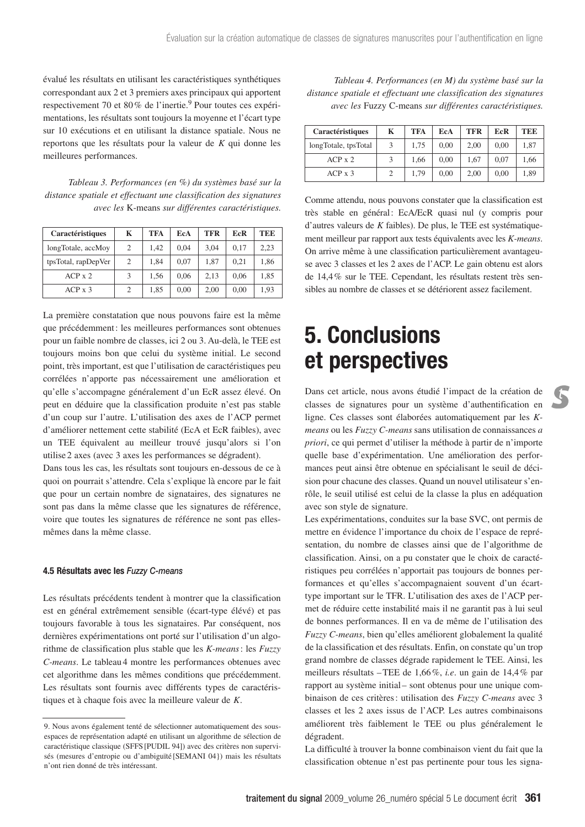évalué les résultats en utilisant les caractéristiques synthétiques correspondant aux 2 et 3 premiers axes principaux qui apportent respectivement 70 et 80% de l'inertie.<sup>9</sup> Pour toutes ces expérimentations, les résultats sont toujours la moyenne et l'écart type sur 10 exécutions et en utilisant la distance spatiale. Nous ne reportons que les résultats pour la valeur de *K* qui donne les meilleures performances.

*Tableau 3. Performances (en %) du systèmes basé sur la distance spatiale et effectuant une classification des signatures avec les* K-means *sur différentes caractéristiques.*

| <b>Caractéristiques</b> | K | <b>TFA</b> | EcA  | <b>TFR</b> | EcR  | <b>TEE</b> |
|-------------------------|---|------------|------|------------|------|------------|
| longTotale, accMoy      | 2 | 1.42       | 0,04 | 3.04       | 0.17 | 2,23       |
| tpsTotal, rapDepVer     | 2 | 1.84       | 0,07 | 1.87       | 0.21 | 1,86       |
| $ACP \times 2$          |   | 1,56       | 0,06 | 2.13       | 0,06 | 1,85       |
| $ACP \times 3$          |   | 1.85       | 0,00 | 2.00       | 0,00 | 1,93       |

La première constatation que nous pouvons faire est la même que précédemment : les meilleures performances sont obtenues pour un faible nombre de classes, ici 2 ou 3. Au-delà, le TEE est toujours moins bon que celui du système initial. Le second point, très important, est que l'utilisation de caractéristiques peu corrélées n'apporte pas nécessairement une amélioration et qu'elle s'accompagne généralement d'un EcR assez élevé. On peut en déduire que la classification produite n'est pas stable d'un coup sur l'autre. L'utilisation des axes de l'ACP permet d'améliorer nettement cette stabilité (EcA et EcR faibles), avec un TEE équivalent au meilleur trouvé jusqu'alors si l'on utilise 2 axes (avec 3 axes les performances se dégradent).

Dans tous les cas, les résultats sont toujours en-dessous de ce à quoi on pourrait s'attendre. Cela s'explique là encore par le fait que pour un certain nombre de signataires, des signatures ne sont pas dans la même classe que les signatures de référence, voire que toutes les signatures de référence ne sont pas ellesmêmes dans la même classe.

#### **4.5 Résultats avec les** *Fuzzy C-means*

Les résultats précédents tendent à montrer que la classification est en général extrêmement sensible (écart-type élévé) et pas toujours favorable à tous les signataires. Par conséquent, nos dernières expérimentations ont porté sur l'utilisation d'un algorithme de classification plus stable que les *K-means*: les *Fuzzy C-means*. Le tableau 4 montre les performances obtenues avec cet algorithme dans les mêmes conditions que précédemment. Les résultats sont fournis avec différents types de caractéristiques et à chaque fois avec la meilleure valeur de *K*.

*Tableau 4. Performances (en M) du système basé sur la distance spatiale et effectuant une classification des signatures avec les* Fuzzy C-means *sur différentes caractéristiques.*

| <b>Caractéristiques</b> | K | <b>TFA</b> | EcA  | <b>TFR</b> | EcR  | TEE  |
|-------------------------|---|------------|------|------------|------|------|
| longTotale, tpsTotal    |   | 1.75       | 0.00 | 2.00       | 0.00 | 1,87 |
| $ACP \times 2$          |   | 1.66       | 0.00 | 1.67       | 0.07 | 1,66 |
| $ACP \times 3$          |   | 1.79       | 0.00 | 2.00       | 0.00 | 1.89 |

Comme attendu, nous pouvons constater que la classification est très stable en général: EcA/EcR quasi nul (y compris pour d'autres valeurs de *K* faibles). De plus, le TEE est systématiquement meilleur par rapport aux tests équivalents avec les *K-means*. On arrive même à une classification particulièrement avantageuse avec 3 classes et les 2 axes de l'ACP. Le gain obtenu est alors de 14,4% sur le TEE. Cependant, les résultats restent très sensibles au nombre de classes et se détériorent assez facilement.

## **5. Conclusions et perspectives**

Dans cet article, nous avons étudié l'impact de la création de classes de signatures pour un système d'authentification en ligne. Ces classes sont élaborées automatiquement par les *Kmeans* ou les *Fuzzy C-means* sans utilisation de connaissances *a priori*, ce qui permet d'utiliser la méthode à partir de n'importe quelle base d'expérimentation. Une amélioration des performances peut ainsi être obtenue en spécialisant le seuil de décision pour chacune des classes. Quand un nouvel utilisateur s'enrôle, le seuil utilisé est celui de la classe la plus en adéquation avec son style de signature.

Les expérimentations, conduites sur la base SVC, ont permis de mettre en évidence l'importance du choix de l'espace de représentation, du nombre de classes ainsi que de l'algorithme de classification. Ainsi, on a pu constater que le choix de caractéristiques peu corrélées n'apportait pas toujours de bonnes performances et qu'elles s'accompagnaient souvent d'un écarttype important sur le TFR. L'utilisation des axes de l'ACP permet de réduire cette instabilité mais il ne garantit pas à lui seul de bonnes performances. Il en va de même de l'utilisation des *Fuzzy C-means*, bien qu'elles améliorent globalement la qualité de la classification et des résultats. Enfin, on constate qu'un trop grand nombre de classes dégrade rapidement le TEE. Ainsi, les meilleurs résultats – TEE de 1,66 %, *i.e*. un gain de 14,4 % par rapport au système initial – sont obtenus pour une unique combinaison de ces critères : utilisation des *Fuzzy C-means* avec 3 classes et les 2 axes issus de l'ACP. Les autres combinaisons améliorent très faiblement le TEE ou plus généralement le dégradent.

La difficulté à trouver la bonne combinaison vient du fait que la classification obtenue n'est pas pertinente pour tous les signa-

<sup>9.</sup> Nous avons également tenté de sélectionner automatiquement des sousespaces de représentation adapté en utilisant un algorithme de sélection de caractéristique classique (SFFS [PUDIL 94]) avec des critères non supervisés (mesures d'entropie ou d'ambiguïté [SEMANI 04}) mais les résultats n'ont rien donné de très intéressant.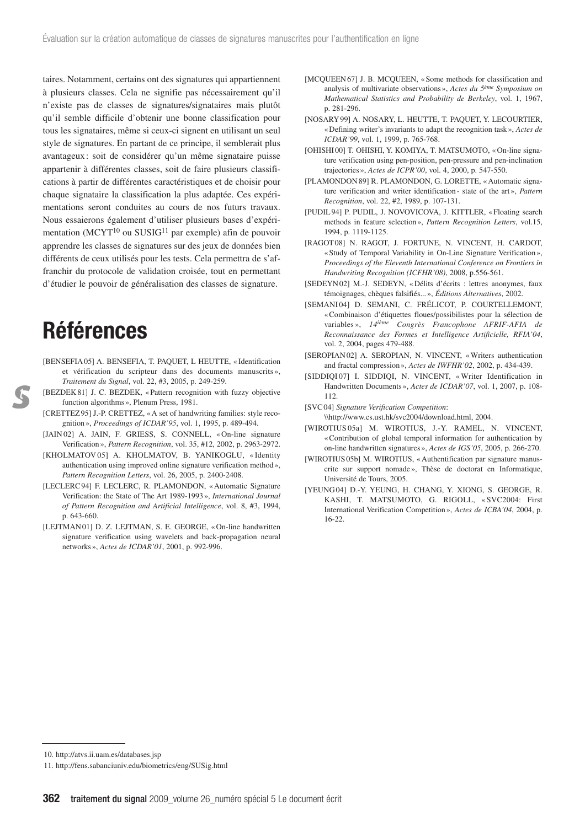taires. Notamment, certains ont des signatures qui appartiennent à plusieurs classes. Cela ne signifie pas nécessairement qu'il n'existe pas de classes de signatures/signataires mais plutôt qu'il semble difficile d'obtenir une bonne classification pour tous les signataires, même si ceux-ci signent en utilisant un seul style de signatures. En partant de ce principe, il semblerait plus avantageux : soit de considérer qu'un même signataire puisse appartenir à différentes classes, soit de faire plusieurs classifications à partir de différentes caractéristiques et de choisir pour chaque signataire la classification la plus adaptée. Ces expérimentations seront conduites au cours de nos futurs travaux. Nous essaierons également d'utiliser plusieurs bases d'expérimentation (MCYT<sup>10</sup> ou SUSIG<sup>11</sup> par exemple) afin de pouvoir apprendre les classes de signatures sur des jeux de données bien différents de ceux utilisés pour les tests. Cela permettra de s'affranchir du protocole de validation croisée, tout en permettant d'étudier le pouvoir de généralisation des classes de signature.

## **Références**

- [BENSEFIA 05] A. BENSEFIA, T. PAQUET, L HEUTTE, « Identification et vérification du scripteur dans des documents manuscrits », *Traitement du Signal*, vol. 22, #3, 2005, p. 249-259.
- [BEZDEK 81] J. C. BEZDEK, « Pattern recognition with fuzzy objective function algorithms », Plenum Press, 1981.
- [CRETTEZ 95] J.-P. CRETTEZ, « A set of handwriting families: style recognition », *Proceedings of ICDAR'95*, vol. 1, 1995, p. 489-494.
- [JAIN 02] A. JAIN, F. GRIESS, S. CONNELL, « On-line signature Verification », *Pattern Recognition*, vol. 35, #12, 2002, p. 2963-2972.
- [KHOLMATOV 05] A. KHOLMATOV, B. YANIKOGLU, « Identity authentication using improved online signature verification method », *Pattern Recognition Letters*, vol. 26, 2005, p. 2400-2408.
- [LECLERC 94] F. LECLERC, R. PLAMONDON, « Automatic Signature Verification: the State of The Art 1989-1993 », *International Journal of Pattern Recognition and Artificial Intelligence*, vol. 8, #3, 1994, p. 643-660.
- [LEJTMAN 01] D. Z. LEJTMAN, S. E. GEORGE, « On-line handwritten signature verification using wavelets and back-propagation neural networks », *Actes de ICDAR'01*, 2001, p. 992-996.
- [MCQUEEN 67] J. B. MCQUEEN, « Some methods for classification and analysis of multivariate observations », *Actes du 5ème Symposium on Mathematical Statistics and Probability de Berkeley*, vol. 1, 1967, p. 281-296.
- [NOSARY 99] A. NOSARY, L. HEUTTE, T. PAQUET, Y. LECOURTIER, « Defining writer's invariants to adapt the recognition task », *Actes de ICDAR'99*, vol. 1, 1999, p. 765-768.
- [OHISHI00] T. OHISHI, Y. KOMIYA, T. MATSUMOTO, «On-line signature verification using pen-position, pen-pressure and pen-inclination trajectories », *Actes de ICPR'00*, vol. 4, 2000, p. 547-550.
- [PLAMONDON 89] R. PLAMONDON, G. LORETTE, « Automatic signature verification and writer identification - state of the art», *Pattern Recognition*, vol. 22, #2, 1989, p. 107-131.
- [PUDIL 94] P. PUDIL, J. NOVOVICOVA, J. KITTLER, « Floating search methods in feature selection », *Pattern Recognition Letters*, vol.15, 1994, p. 1119-1125.
- [RAGOT08] N. RAGOT, J. FORTUNE, N. VINCENT, H. CARDOT, « Study of Temporal Variability in On-Line Signature Verification », *Proceedings of the Eleventh International Conference on Frontiers in Handwriting Recognition (ICFHR'08)*, 2008, p.556-561.
- [SEDEYN 02] M.-J. SEDEYN, « Délits d'écrits : lettres anonymes, faux témoignages, chèques falsifiés... », *Éditions Alternatives*, 2002.
- [SEMANI 04] D. SEMANI, C. FRÉLICOT, P. COURTELLEMONT, « Combinaison d'étiquettes floues/possibilistes pour la sélection de variables », *14ième Congrès Francophone AFRIF-AFIA de Reconnaissance des Formes et Intelligence Artificielle, RFIA'04*, vol. 2, 2004, pages 479-488.
- [SEROPIAN 02] A. SEROPIAN, N. VINCENT, « Writers authentication and fractal compression », *Actes de IWFHR'02*, 2002, p. 434-439.
- [SIDDIQI 07] I. SIDDIQI, N. VINCENT, « Writer Identification in Handwritten Documents », *Actes de ICDAR'07*, vol. 1, 2007, p. 108- 112.
- [SVC 04] *Signature Verification Competition*:

\\http://www.cs.ust.hk/svc2004/download.html, 2004.

- [WIROTIUS 05a] M. WIROTIUS, J.-Y. RAMEL, N. VINCENT, « Contribution of global temporal information for authentication by on-line handwritten signatures », *Actes de IGS'05*, 2005, p. 266-270.
- [WIROTIUS 05b] M. WIROTIUS, « Authentification par signature manuscrite sur support nomade », Thèse de doctorat en Informatique, Université de Tours, 2005.
- [YEUNG 04] D.-Y. YEUNG, H. CHANG, Y. XIONG, S. GEORGE, R. KASHI, T. MATSUMOTO, G. RIGOLL, « SVC2004: First International Verification Competition », *Actes de ICBA'04*, 2004, p. 16-22.

<sup>10.</sup> http://atvs.ii.uam.es/databases.jsp

<sup>11.</sup> http://fens.sabanciuniv.edu/biometrics/eng/SUSig.html